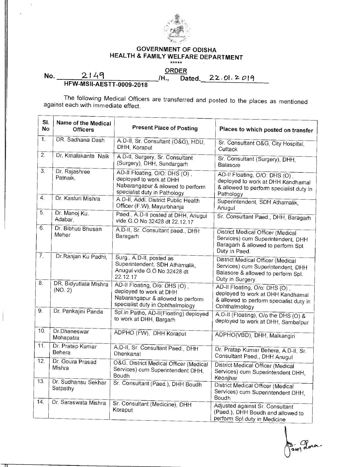

## **GOVERNMENT OF ODISHA HEALTH & FAMILY WELFARE DEPARTMENT**

ORDER<br>**I., Dated.\_22.01.2019 No.** 2149 *H.,* **Dated. 22.01.2019 HFW-MSII-AESTT-0009-2018** 

The following Medical Officers are transferred and posted to the places as mentioned against each with immediate effect.

| SI.<br><b>No</b> | Name of the Medical<br><b>Officers</b> | <b>Present Place of Posting</b>                                                                                                   | Places to which posted on transfer                                                                                                      |
|------------------|----------------------------------------|-----------------------------------------------------------------------------------------------------------------------------------|-----------------------------------------------------------------------------------------------------------------------------------------|
| 1.               | DR. Sadhana Dash                       | A.D-II, Sr. Consultant (O&G), HDU,<br>DHH, Koraput                                                                                | Sr. Consultant O&G, City Hospital,<br>Cuttack                                                                                           |
| 2.               | Dr. Kmalakanta Naik                    | A.D-II, Surgery, Sr. Consultant<br>(Surgery), DHH, Sundargarh                                                                     | Sr. Consultant (Surgery), DHH,<br>Balasore                                                                                              |
| 3 <sub>1</sub>   | Dr. Rajashree<br>Patnaik,              | AD-II Floating, O/O: DHS (O),<br>deployed to work at DHH<br>Nabarangapur & allowed to perform<br>specialist duty in Pathology     | AD-Il Floating, O/O: DHS (O),<br>deployed to work at DHH Kandhamal<br>& allowed to perform specialist duty in<br>Pathology              |
| $\overline{4}$ . | Dr. Kasturi Mishra                     | A.D-II, Addl. District Public Health<br>Officer (F.W), Mayurbhanja                                                                | Superintendent, SDH Athamalik,<br>Anugul                                                                                                |
| 5.               | Dr. Manoj Ku.<br>Adabar,               | Paed., A.D-II posted at DHH, Anugul<br>vide G.O No 32428 dt 22.12.17                                                              | Sr. Consultant Paed., DHH, Baragarh                                                                                                     |
| 6.               | Dr. Bibhuti Bhusan<br>Meher            | A.D-II, Sr. Consultant paed., DHH<br>Baragarh                                                                                     | <b>District Medical Officer (Medical</b><br>Services) cum Superintendent, DHH<br>Baragarh & allowed to perform Spl.<br>Duty in Paed.    |
| $\overline{7}$ . | Dr. Ranjan Ku Padhi,                   | Surg., A.D-II, posted as<br>Superintendent, SDH Athamalik,<br>Anugul vide G.O No 32428 dt<br>22.12.17                             | <b>District Medical Officer (Medical</b><br>Services) cum Superintendent, DHH<br>Balasore & allowed to perform Spl.<br>Duty in Surgery. |
| 8.               | DR. Bidyutlata Mishra<br>(NO. 2)       | AD-II Floating, O/o: DHS (O),<br>deployed to work at DHH<br>Nabarangapur & allowed to perform<br>specialist duty in Ophthalmology | AD-II Floating, O/o: DHS (O),<br>deployed to work at DHH Kandhamal<br>& allowed to perform specialist duty in<br>Ophthalmology          |
| 9.               | Dr. Pankajini Panda                    | Spl.in Patho, AD-II(Floating) deployed<br>to work at DHH, Bargarh                                                                 | A.D-II (Floating), O/o the DHS (O) &<br>deployed to work at DHH, Sambalpur                                                              |
| 10.              | Dr.Dhaneswar<br>Mohapatra              | ADPHO (FW), DHH Koraput                                                                                                           | ADPHO(VBD), DHH, Malkangiri                                                                                                             |
| 11.              | Dr. Pratap Kumar<br>Behera             | A.D-II, Sr. Consultant Paed., DHH<br>Dhenkanal                                                                                    | Dr. Pratap Kumar Behera, A.D-II, Sr.<br>Consultant Paed., DHH Anugul                                                                    |
| 12.              | Dr. Goura Prasad<br>Mishra             | O&G, District Medical Officer (Medical<br>Services) cum Superintendent DHH,<br>Boudh                                              | <b>District Medical Officer (Medical</b><br>Services) cum Superintendent DHH,<br>Keonjhar                                               |
| 13.              | Dr. Sudhansu Sekhar<br>Satpathy        | Sr. Consultant (Paed.), DHH Boudh                                                                                                 | District Medical Officer (Medical<br>Services) cum Superintendent DHH,<br>Boudh                                                         |
| 14.              | Dr. Saraswata Mishra                   | Sr. Consultant (Medicine), DHH<br>Koraput                                                                                         | Adjusted against Sr. Consultant<br>(Paed.), DHH Boudh and allowed to<br>perform Spl.duty in Medicine                                    |

 $_{\rm II}$ 

 $\frac{1}{2}$  avea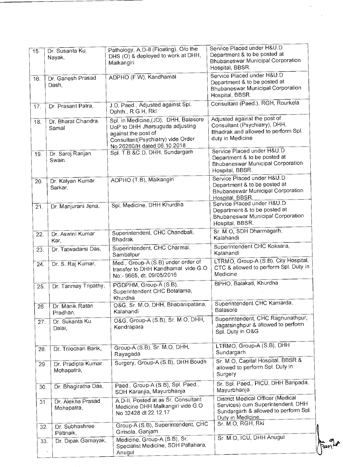| 15. | Dr. Susanta Ku.                  | Pathology, A.D-II (Floating), O/o the                                                                                                                               | Service Placed under H&U.D<br>Department & to be posted at                                                                          |
|-----|----------------------------------|---------------------------------------------------------------------------------------------------------------------------------------------------------------------|-------------------------------------------------------------------------------------------------------------------------------------|
|     | Nayak,                           | DHS (O) & deployed to work at DHH,<br>Malkangiri                                                                                                                    | <b>Bhubaneswar Municipal Corporation</b><br>Hospital, BBSR.                                                                         |
| 16. | Dr. Ganesh Prasad<br>Dash,       | ADPHO (F.W), Kandhamal                                                                                                                                              | Service Placed under H&U.D<br>Department & to be posted at<br><b>Bhubaneswar Municipal Corporation</b><br>Hospital, BBSR.           |
| 17. | Dr. Prasant Patra,               | J.D, Paed., Adjusted against Spl.<br>Ophth., R.G.H, Rkl                                                                                                             | Consultant (Paed.), RGH, Rourkela                                                                                                   |
| 18. | Dr. Bharat Chandra.<br>Samal     | Spl. in Medicine, (JD), DHH, Balasore<br>UoP to DHH Jharsuguda adjusting<br>against the post of<br>Consultant(Psychiatry) vide Order<br>No.26260/H dated 06.10.2018 | Adjusted against the post of<br>Consultant (Psychiatry), DHH,<br>Bhadrak and allowed to perform Spl.<br>duty in Medicine            |
| 19. | Dr. Saroj Ranjan<br>Swain        | Spl. T.B & C.D, DHH, Sundargarh                                                                                                                                     | Service Placed under H&U.D<br>Department & to be posted at<br><b>Bhubaneswar Municipal Corporation</b><br>Hospital, BBSR.           |
| 20. | Dr. Kalyan Kumar<br>Sarkar,      | ADPHO (T.B), Malkangiri                                                                                                                                             | Service Placed under H&U.D<br>Department & to be posted at<br><b>Bhubaneswar Municipal Corporation</b><br>Hospital, BBSR.           |
| 21. | Dr. Manjurani Jena,              | Spl. Medicine, DHH Khurdha                                                                                                                                          | Service Placed under H&U.D<br>Department & to be posted at<br><b>Bhubaneswar Municipal Corporation</b><br>Hospital, BBSR.           |
| 22. | Dr. Aswini Kumar<br>Kar,         | Superintendent, CHC Chandbali,<br><b>Bhadrak</b>                                                                                                                    | Sr. M.O. SDH Dharmagarh,<br>Kalahandi                                                                                               |
| 23. | Dr. Tatwadarsi Das,              | Superintendent, CHC Charmal,<br>Sambalpur                                                                                                                           | Superintendent CHC Koksara,<br>Kalahandi                                                                                            |
| 24. | Dr. S. Raj Kumar,                | Med., Group-A (S.B) under order of<br>transfer to DHH Kandhamal vide G.O<br>No:- 9665, dt. 09/05/2016                                                               | LTRMO, Group-A (S.B), City Hospital,<br>CTC & allowed to perform Spl. Duty in<br>Medicine                                           |
| 25. | Dr. Tanmay Tripathy,             | PGDPHM, Group-A (S.B),<br>Superintendent CHC Botalama,<br>Khurdha                                                                                                   | BPHO, Balakati, Khurdha                                                                                                             |
| 26. | Dr. Manik Ratan<br>Pradhan,      | O&G, Sr. M.O, DHH, Bhabanipatana,<br>Kalahandi                                                                                                                      | Superintendent CHC Kamarda,<br>Balasore                                                                                             |
| 27. | Dr. Sukanta Ku.<br>Dalai,        | O&G, Group-A (S.B), Sr. M.O, DHH,<br>Kendrapara                                                                                                                     | Superintendent, CHC Raghunathpur,<br>Jagatsinghpur & allowed to perform<br>Spl. Duty in O&G                                         |
| 28. | Dr. Trilochan Barik,             | Group-A (S.B), Sr. M.O, DHH,<br>Rayagada                                                                                                                            | LTRMO, Group-A (S.B), DHH<br>Sundargarh                                                                                             |
| 29. | Dr. Pradipta Kumar<br>Mohapatra, | Surgery, Group-A (S.B), DHH Boudh                                                                                                                                   | Sr. M.O, Capital Hospital, BBSR &<br>allowed to perform Spl. Duty in<br>Surgery                                                     |
| 30. | Dr. Bhagiratha Das,              | Paed., Group-A (S.B), Spl. Paed.,<br>SDH Karanjia, Mayurbhanja                                                                                                      | Sr. Spl. Paed., PICU, DHH Baripada,<br>Mayurbhanja                                                                                  |
| 31. | Dr. Alekha Prasad<br>Mohapatra,  | A.D-II, Posted at as Sr. Consultant<br>Medicine DHH Malkangiri vide G.O<br>No 32428 dt 22.12.17                                                                     | District Medical Officer (Medical<br>Services) cum Superintendent, DHH<br>Sundargarh & allowed to perform Spl.<br>Duty in Medicine. |
| 32. | Dr. Subhashree<br>Pattnaik,      | Group-A (S.B), Superintendent, CHC<br>Girisola, Ganjam                                                                                                              | Sr. M.O, RGH, Rkl                                                                                                                   |
| 33. | Dr. Dipak Garnayak,<br>K,        | Medicine, Group-A (S.B), Sr.<br>Specialist Medicine, SDH Pallahara,<br>Anugul                                                                                       | Sr. M.O. ICU, DHH Anugul                                                                                                            |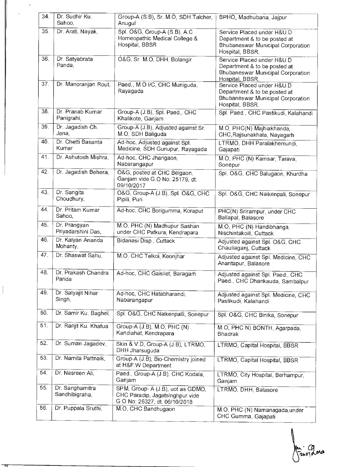| 34. | Dr. Sudhir Ku.<br>Sahoo,           | Group-A (S.B), Sr. M.O, SDH Talcher,<br>Anugul                                                       | BPHO, Madhubana, Jajpur                                                                                                   |
|-----|------------------------------------|------------------------------------------------------------------------------------------------------|---------------------------------------------------------------------------------------------------------------------------|
| 35. | Dr. Arati, Nayak,                  | Spl. O&G, Group-A (S.B), A.C<br>Homeopathic Medical College &<br>Hospital, BBSR                      | Service Placed under H&U.D<br>Department & to be posted at<br><b>Bhubaneswar Municipal Corporation</b><br>Hospital, BBSR. |
| 36. | Dr. Satyabrata<br>Panda,           | O&G, Sr. M.O, DHH, Bolangir                                                                          | Service Placed under H&U.D<br>Department & to be posted at<br>Bhubaneswar Municipal Corporation<br>Hospital, BBSR.        |
| 37. | Dr. Manoranjan Rout,               | Paed., M.O I/C, CHC Muniguda.<br>Rayagada                                                            | Service Placed under H&U.D<br>Department & to be posted at<br>Bhubaneswar Municipal Corporation<br>Hospital, BBSR.        |
| 38. | Dr. Pranab Kumar<br>Panigrahi,     | Group-A (J.B), Spl. Paed., CHC<br>Khalikote, Ganjam                                                  | Spl. Paed., CHC Pastikudi, Kalahandi                                                                                      |
| 39. | Dr. Jagadish Ch.<br>Jena,          | Group-A (J.B), Adjusted against Sr.<br>M.O, SDH Baliguda                                             | M.O, PHC(N) Majhiakhanda,<br>CHC, Rajsunakhala, Nayagarh                                                                  |
| 40. | Dr. Chetti Basanta<br>Kumar        | Ad-hoc, Adjusted against Spl.<br>Medicine, SDH Gunupur, Rayagada                                     | LTRMO, DHH Paralakhemundi,<br>Gajapati                                                                                    |
| 41. | Dr. Ashutosh Mishra,               | Ad-hoc, CHC Jharigaon,<br>Nabarangapur                                                               | M.O, PHC (N) Kamsar, Tarava,<br>Sonepur                                                                                   |
| 42. | Dr. Jagadish Behera,               | O&G, posted at CHC Belgaon,<br>Ganjam vide G.O No: 25179, dt.<br>09/10/2017                          | Spl. O&G, CHC Balugaon, Khurdha                                                                                           |
| 43. | Dr. Sangita<br>Choudhury,          | O&G, Group-A (J.B), Spl. O&G, CHC<br>Pipili, Puri                                                    | Spl. O&G, CHC Naikenpali, Sonepur                                                                                         |
| 44. | Dr. Pritam Kumar<br>Sahoo,         | Ad-hoc, CHC Borigumma, Koraput                                                                       | PHC(N) Srirampur, under CHC<br>Baliapal, Balasore                                                                         |
| 45. | Dr. Prangyan<br>Priyadarshini Das, | M.O. PHC (N) Madhupur Sashan<br>under CHC Patkura, Kendrapara                                        | M.O, PHC (N) Handibhanga,<br>Nischintakoili, Cuttack                                                                      |
| 46. | Dr. Kalyan Ananda<br>Mohanty,      | Bidanasi Disp., Cuttack                                                                              | Adjusted against Spl. O&G, CHC<br>Chauliaganj, Cuttack                                                                    |
| 47. | Dr. Shaswat Sahu,                  | M.O. CHC Telkoi, Keonihar                                                                            | Adjusted against Spl. Medicine, CHC<br>Anantapur, Balasore                                                                |
| 48. | Dr. Prakash Chandra<br>Parida      | Ad-hoc, CHC Gaisilet, Baragarh                                                                       | Adjusted against Spl. Paed., CHC<br>Paed., CHC Dhankauda, Sambalpur                                                       |
| 49. | Dr. Satyajit Nihar<br>Singh,       | Ad-hoc, CHC Hatabharandi,<br>Nabarangapur                                                            | Adjusted against Spl. Medicine, CHC<br>Pastikudi, Kalahandi                                                               |
| 50. | Dr. Samir Ku. Baghel,              | Spl. O&G, CHC Naikenpalli, Sonepur                                                                   | Spl. O&G, CHC Binika, Sonepur                                                                                             |
| 51. | Dr. Ranjit Ku. Khatua              | Group-A (J.B), M.O, PHC (N)<br>Kandiahat, Kendrapara                                                 | M.O, PHC N) BONTH, Agarpada,<br><b>Bhadrak</b>                                                                            |
| 52. | Dr. Suman Jagadev,                 | Skin & V.D, Group-A (J.B), LTRMO,<br>DHH Jharsuguda                                                  | LTRMO, Capital Hospital, BBSR                                                                                             |
| 53. | Dr. Namita Pattnaik,               | Group-A (J.B), Bio-Chemistry joined<br>at H&F.W Department                                           | LTRMO, Capital Hospital, BBSR                                                                                             |
| 54. | Dr. Nasreen Ali,                   | Paed., Group-A (J.B), CHC Kodala,<br>Ganjam                                                          | LTRMO, City Hospital, Berhampur,<br>Ganjam                                                                                |
| 55. | Dr. Sanghamitra<br>Sandhibigraha,  | SPM, Group-A (J.B), uot as GDMO,<br>CHC Paradip, Jagatsinghpur vide<br>G.O No: 26327, dt. 06/10/2018 | LTRMO, DHH, Balasore                                                                                                      |
| 56. | Dr. Puppala Sruthi,                | M.O, CHC Bandhugaon                                                                                  | M.O, PHC (N) Namanagada, under<br>CHC Gumma, Gajapati                                                                     |

m 900

 $\begin{array}{c} \hline \end{array}$